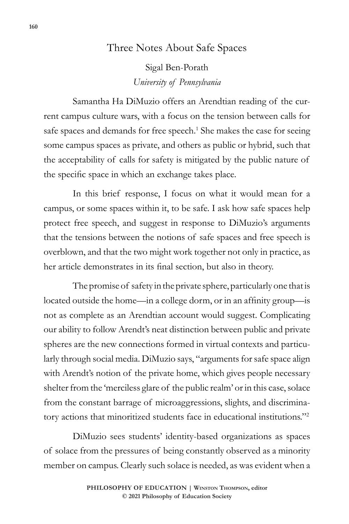## Three Notes About Safe Spaces

Sigal Ben-Porath *University of Pennsylvania*

Samantha Ha DiMuzio offers an Arendtian reading of the current campus culture wars, with a focus on the tension between calls for safe spaces and demands for free speech.<sup>1</sup> She makes the case for seeing some campus spaces as private, and others as public or hybrid, such that the acceptability of calls for safety is mitigated by the public nature of the specific space in which an exchange takes place.

In this brief response, I focus on what it would mean for a campus, or some spaces within it, to be safe. I ask how safe spaces help protect free speech, and suggest in response to DiMuzio's arguments that the tensions between the notions of safe spaces and free speech is overblown, and that the two might work together not only in practice, as her article demonstrates in its final section, but also in theory.

The promise of safety in the private sphere, particularly one that is located outside the home—in a college dorm, or in an affinity group—is not as complete as an Arendtian account would suggest. Complicating our ability to follow Arendt's neat distinction between public and private spheres are the new connections formed in virtual contexts and particularly through social media. DiMuzio says, "arguments for safe space align with Arendt's notion of the private home, which gives people necessary shelter from the 'merciless glare of the public realm' or in this case, solace from the constant barrage of microaggressions, slights, and discriminatory actions that minoritized students face in educational institutions."2

DiMuzio sees students' identity-based organizations as spaces of solace from the pressures of being constantly observed as a minority member on campus. Clearly such solace is needed, as was evident when a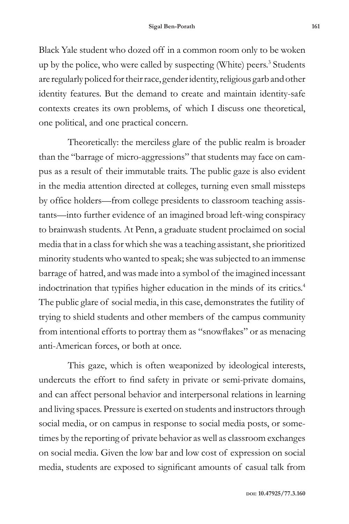Black Yale student who dozed off in a common room only to be woken up by the police, who were called by suspecting (White) peers.<sup>3</sup> Students are regularly policed for their race, gender identity, religious garb and other identity features. But the demand to create and maintain identity-safe contexts creates its own problems, of which I discuss one theoretical, one political, and one practical concern.

Theoretically: the merciless glare of the public realm is broader than the "barrage of micro-aggressions" that students may face on campus as a result of their immutable traits. The public gaze is also evident in the media attention directed at colleges, turning even small missteps by office holders—from college presidents to classroom teaching assistants—into further evidence of an imagined broad left-wing conspiracy to brainwash students. At Penn, a graduate student proclaimed on social media that in a class for which she was a teaching assistant, she prioritized minority students who wanted to speak; she was subjected to an immense barrage of hatred, and was made into a symbol of the imagined incessant indoctrination that typifies higher education in the minds of its critics.<sup>4</sup> The public glare of social media, in this case, demonstrates the futility of trying to shield students and other members of the campus community from intentional efforts to portray them as "snowflakes" or as menacing anti-American forces, or both at once.

This gaze, which is often weaponized by ideological interests, undercuts the effort to find safety in private or semi-private domains, and can affect personal behavior and interpersonal relations in learning and living spaces. Pressure is exerted on students and instructors through social media, or on campus in response to social media posts, or sometimes by the reporting of private behavior as well as classroom exchanges on social media. Given the low bar and low cost of expression on social media, students are exposed to significant amounts of casual talk from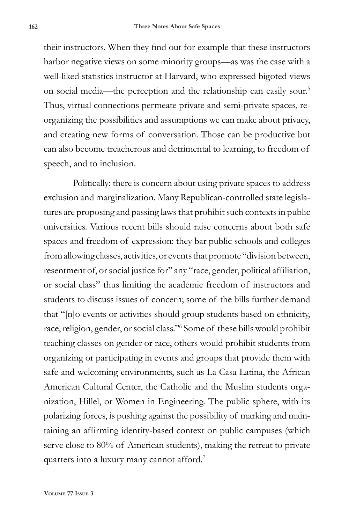their instructors. When they find out for example that these instructors harbor negative views on some minority groups—as was the case with a well-liked statistics instructor at Harvard, who expressed bigoted views on social media—the perception and the relationship can easily sour.5 Thus, virtual connections permeate private and semi-private spaces, reorganizing the possibilities and assumptions we can make about privacy, and creating new forms of conversation. Those can be productive but can also become treacherous and detrimental to learning, to freedom of speech, and to inclusion.

Politically: there is concern about using private spaces to address exclusion and marginalization. Many Republican-controlled state legislatures are proposing and passing laws that prohibit such contexts in public universities. Various recent bills should raise concerns about both safe spaces and freedom of expression: they bar public schools and colleges from allowing classes, activities, or events that promote "division between, resentment of, or social justice for" any "race, gender, political affiliation, or social class" thus limiting the academic freedom of instructors and students to discuss issues of concern; some of the bills further demand that "[n]o events or activities should group students based on ethnicity, race, religion, gender, or social class."6 Some of these bills would prohibit teaching classes on gender or race, others would prohibit students from organizing or participating in events and groups that provide them with safe and welcoming environments, such as La Casa Latina, the African American Cultural Center, the Catholic and the Muslim students organization, Hillel, or Women in Engineering. The public sphere, with its polarizing forces, is pushing against the possibility of marking and maintaining an affirming identity-based context on public campuses (which serve close to 80% of American students), making the retreat to private quarters into a luxury many cannot afford.7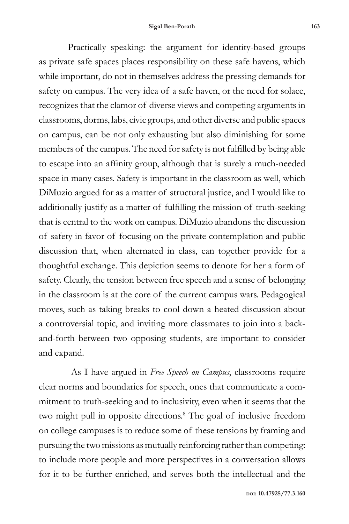Practically speaking: the argument for identity-based groups as private safe spaces places responsibility on these safe havens, which while important, do not in themselves address the pressing demands for safety on campus. The very idea of a safe haven, or the need for solace, recognizes that the clamor of diverse views and competing arguments in classrooms, dorms, labs, civic groups, and other diverse and public spaces on campus, can be not only exhausting but also diminishing for some members of the campus. The need for safety is not fulfilled by being able to escape into an affinity group, although that is surely a much-needed space in many cases. Safety is important in the classroom as well, which DiMuzio argued for as a matter of structural justice, and I would like to additionally justify as a matter of fulfilling the mission of truth-seeking that is central to the work on campus. DiMuzio abandons the discussion of safety in favor of focusing on the private contemplation and public discussion that, when alternated in class, can together provide for a thoughtful exchange. This depiction seems to denote for her a form of safety. Clearly, the tension between free speech and a sense of belonging in the classroom is at the core of the current campus wars. Pedagogical moves, such as taking breaks to cool down a heated discussion about a controversial topic, and inviting more classmates to join into a backand-forth between two opposing students, are important to consider and expand.

 As I have argued in *Free Speech on Campus*, classrooms require clear norms and boundaries for speech, ones that communicate a commitment to truth-seeking and to inclusivity, even when it seems that the two might pull in opposite directions.<sup>8</sup> The goal of inclusive freedom on college campuses is to reduce some of these tensions by framing and pursuing the two missions as mutually reinforcing rather than competing: to include more people and more perspectives in a conversation allows for it to be further enriched, and serves both the intellectual and the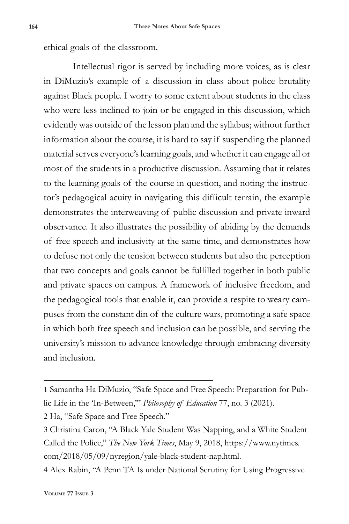ethical goals of the classroom.

Intellectual rigor is served by including more voices, as is clear in DiMuzio's example of a discussion in class about police brutality against Black people. I worry to some extent about students in the class who were less inclined to join or be engaged in this discussion, which evidently was outside of the lesson plan and the syllabus; without further information about the course, it is hard to say if suspending the planned material serves everyone's learning goals, and whether it can engage all or most of the students in a productive discussion. Assuming that it relates to the learning goals of the course in question, and noting the instructor's pedagogical acuity in navigating this difficult terrain, the example demonstrates the interweaving of public discussion and private inward observance. It also illustrates the possibility of abiding by the demands of free speech and inclusivity at the same time, and demonstrates how to defuse not only the tension between students but also the perception that two concepts and goals cannot be fulfilled together in both public and private spaces on campus. A framework of inclusive freedom, and the pedagogical tools that enable it, can provide a respite to weary campuses from the constant din of the culture wars, promoting a safe space in which both free speech and inclusion can be possible, and serving the university's mission to advance knowledge through embracing diversity and inclusion.

2 Ha, "Safe Space and Free Speech."

3 Christina Caron, "A Black Yale Student Was Napping, and a White Student Called the Police," *The New York Times*, May 9, 2018, https://www.nytimes. com/2018/05/09/nyregion/yale-black-student-nap.html.

4 Alex Rabin, "A Penn TA Is under National Scrutiny for Using Progressive

<sup>1</sup> Samantha Ha DiMuzio, "Safe Space and Free Speech: Preparation for Public Life in the 'In-Between,'" *Philosophy of Education* 77, no. 3 (2021).